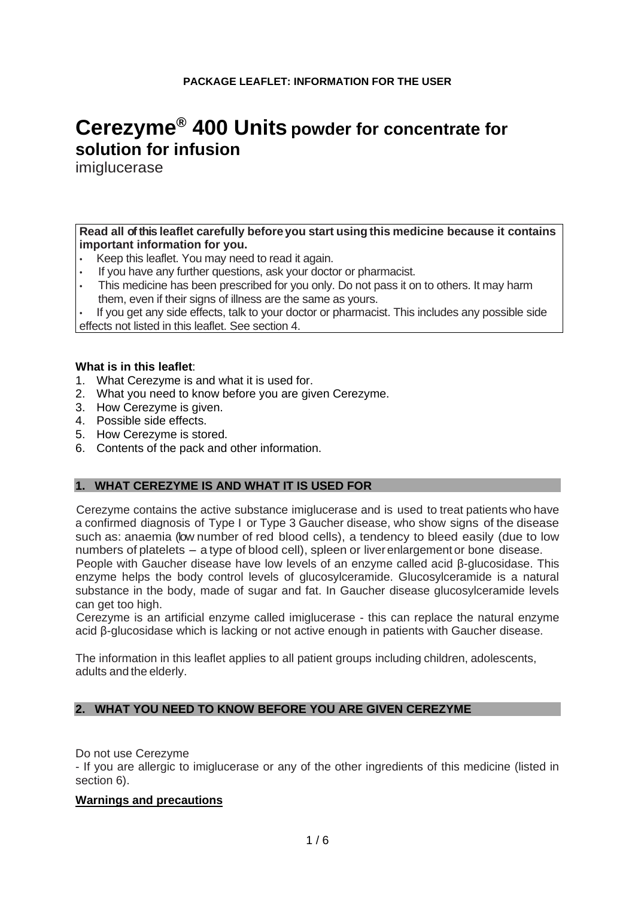# **Cerezyme® 400 Units powder for concentrate for solution for infusion**

imiglucerase

# **Read all ofthis leaflet carefully before you start using this medicine because it contains important information for you.**

- Keep this leaflet. You may need to read it again.
- If you have any further questions, ask your doctor or pharmacist.
- This medicine has been prescribed for you only. Do not pass it on to others. It may harm them, even if their signs of illness are the same as yours.

• If you get any side effects, talk to your doctor or pharmacist. This includes any possible side effects not listed in this leaflet. See section 4.

# **What is in this leaflet**:

- 1. What Cerezyme is and what it is used for.
- 2. What you need to know before you are given Cerezyme.
- 3. How Cerezyme is given.
- 4. Possible side effects.
- 5. How Cerezyme is stored.
- 6. Contents of the pack and other information.

# **1. WHAT CEREZYME IS AND WHAT IT IS USED FOR**

Cerezyme contains the active substance imiglucerase and is used to treat patients who have a confirmed diagnosis of Type I or Type 3 Gaucher disease, who show signs of the disease such as: anaemia (low number of red blood cells), a tendency to bleed easily (due to low numbers of platelets - a type of blood cell), spleen or liver enlargement or bone disease. People with Gaucher disease have low levels of an enzyme called acid β-glucosidase. This enzyme helps the body control levels of glucosylceramide. Glucosylceramide is a natural substance in the body, made of sugar and fat. In Gaucher disease glucosylceramide levels can get too high.

Cerezyme is an artificial enzyme called imiglucerase - this can replace the natural enzyme acid β-glucosidase which is lacking or not active enough in patients with Gaucher disease.

The information in this leaflet applies to all patient groups including children, adolescents, adults and the elderly.

# **2. WHAT YOU NEED TO KNOW BEFORE YOU ARE GIVEN CEREZYME**

Do not use Cerezyme

- If you are allergic to imiglucerase or any of the other ingredients of this medicine (listed in section 6).

#### **Warnings and precautions**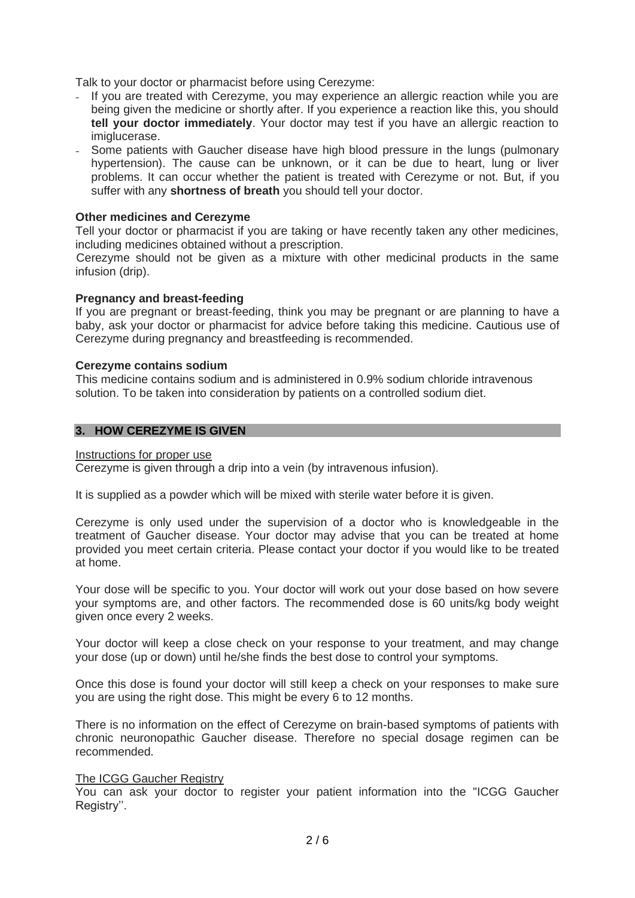Talk to your doctor or pharmacist before using Cerezyme:

- If you are treated with Cerezyme, you may experience an allergic reaction while you are being given the medicine or shortly after. If you experience a reaction like this, you should **tell your doctor immediately**. Your doctor may test if you have an allergic reaction to imiglucerase.
- Some patients with Gaucher disease have high blood pressure in the lungs (pulmonary hypertension). The cause can be unknown, or it can be due to heart, lung or liver problems. It can occur whether the patient is treated with Cerezyme or not. But, if you suffer with any **shortness of breath** you should tell your doctor.

# **Other medicines and Cerezyme**

Tell your doctor or pharmacist if you are taking or have recently taken any other medicines, including medicines obtained without a prescription.

Cerezyme should not be given as a mixture with other medicinal products in the same infusion (drip).

#### **Pregnancy and breast-feeding**

If you are pregnant or breast-feeding, think you may be pregnant or are planning to have a baby, ask your doctor or pharmacist for advice before taking this medicine. Cautious use of Cerezyme during pregnancy and breastfeeding is recommended.

#### **Cerezyme contains sodium**

This medicine contains sodium and is administered in 0.9% sodium chloride intravenous solution. To be taken into consideration by patients on a controlled sodium diet.

## **3. HOW CEREZYME IS GIVEN**

#### Instructions for proper use

Cerezyme is given through a drip into a vein (by intravenous infusion).

It is supplied as a powder which will be mixed with sterile water before it is given.

Cerezyme is only used under the supervision of a doctor who is knowledgeable in the treatment of Gaucher disease. Your doctor may advise that you can be treated at home provided you meet certain criteria. Please contact your doctor if you would like to be treated at home.

Your dose will be specific to you. Your doctor will work out your dose based on how severe your symptoms are, and other factors. The recommended dose is 60 units/kg body weight given once every 2 weeks.

Your doctor will keep a close check on your response to your treatment, and may change your dose (up or down) until he/she finds the best dose to control your symptoms.

Once this dose is found your doctor will still keep a check on your responses to make sure you are using the right dose. This might be every 6 to 12 months.

There is no information on the effect of Cerezyme on brain-based symptoms of patients with chronic neuronopathic Gaucher disease. Therefore no special dosage regimen can be recommended.

#### The ICGG Gaucher Registry

You can ask your doctor to register your patient information into the "ICGG Gaucher Registry".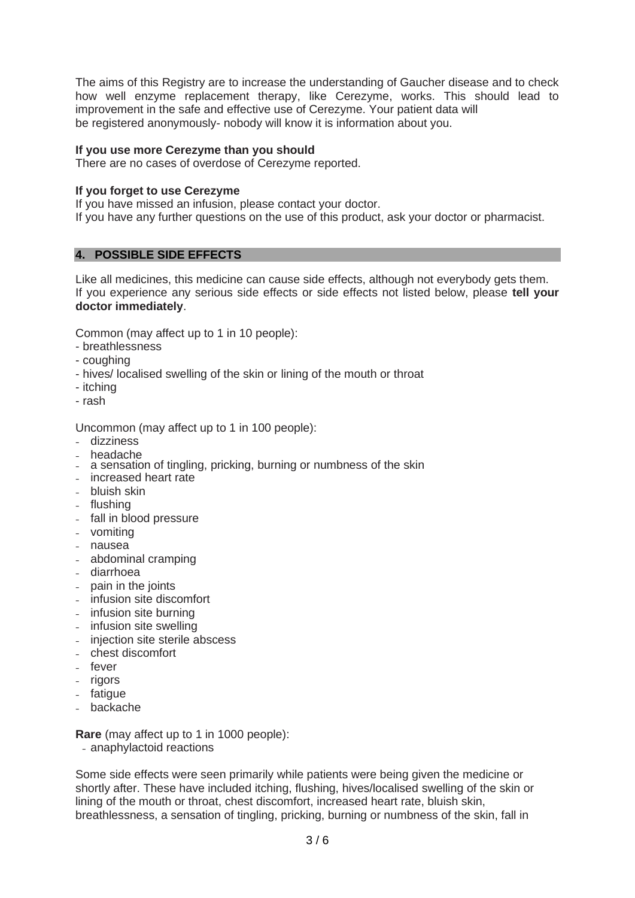The aims of this Registry are to increase the understanding of Gaucher disease and to check how well enzyme replacement therapy, like Cerezyme, works. This should lead to improvement in the safe and effective use of Cerezyme. Your patient data will be registered anonymously- nobody will know it is information about you.

# **If you use more Cerezyme than you should**

There are no cases of overdose of Cerezyme reported.

# **If you forget to use Cerezyme**

If you have missed an infusion, please contact your doctor.

If you have any further questions on the use of this product, ask your doctor or pharmacist.

# **4. POSSIBLE SIDE EFFECTS**

Like all medicines, this medicine can cause side effects, although not everybody gets them. If you experience any serious side effects or side effects not listed below, please **tell your doctor immediately**.

Common (may affect up to 1 in 10 people):

- breathlessness
- coughing
- hives/ localised swelling of the skin or lining of the mouth or throat
- itching
- rash

Uncommon (may affect up to 1 in 100 people):

- dizziness
- headache
- a sensation of tingling, pricking, burning or numbness of the skin
- increased heart rate
- bluish skin
- flushing
- fall in blood pressure
- vomiting
- nausea
- abdominal cramping
- diarrhoea
- pain in the joints
- infusion site discomfort
- infusion site burning
- infusion site swelling
- injection site sterile abscess
- chest discomfort
- fever
- rigors
- fatigue
- backache

**Rare** (may affect up to 1 in 1000 people):

- anaphylactoid reactions

Some side effects were seen primarily while patients were being given the medicine or shortly after. These have included itching, flushing, hives/localised swelling of the skin or lining of the mouth or throat, chest discomfort, increased heart rate, bluish skin, breathlessness, a sensation of tingling, pricking, burning or numbness of the skin, fall in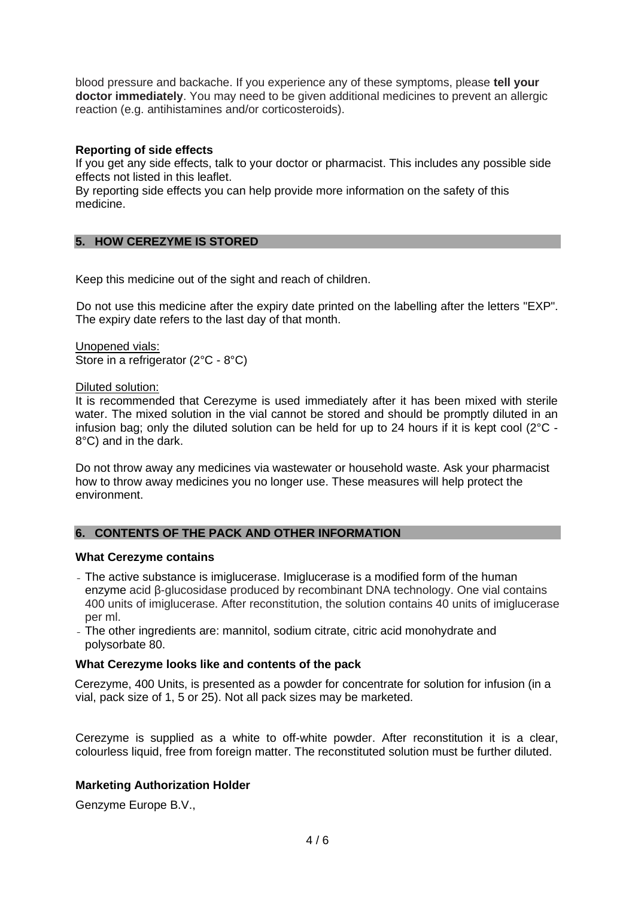blood pressure and backache. If you experience any of these symptoms, please **tell your doctor immediately**. You may need to be given additional medicines to prevent an allergic reaction (e.g. antihistamines and/or corticosteroids).

# **Reporting of side effects**

If you get any side effects, talk to your doctor or pharmacist. This includes any possible side effects not listed in this leaflet.

By reporting side effects you can help provide more information on the safety of this medicine.

# **5. HOW CEREZYME IS STORED**

Keep this medicine out of the sight and reach of children.

Do not use this medicine after the expiry date printed on the labelling after the letters "EXP". The expiry date refers to the last day of that month.

Unopened vials: Store in a refrigerator (2°C - 8°C)

#### Diluted solution:

It is recommended that Cerezyme is used immediately after it has been mixed with sterile water. The mixed solution in the vial cannot be stored and should be promptly diluted in an infusion bag; only the diluted solution can be held for up to 24 hours if it is kept cool  $(2^{\circ}C -$ 8°C) and in the dark.

Do not throw away any medicines via wastewater or household waste. Ask your pharmacist how to throw away medicines you no longer use. These measures will help protect the environment.

# **6. CONTENTS OF THE PACK AND OTHER INFORMATION**

#### **What Cerezyme contains**

- The active substance is imiglucerase. Imiglucerase is a modified form of the human enzyme acid β-glucosidase produced by recombinant DNA technology. One vial contains 400 units of imiglucerase. After reconstitution, the solution contains 40 units of imiglucerase per ml.
- The other ingredients are: mannitol, sodium citrate, citric acid monohydrate and polysorbate 80.

# **What Cerezyme looks like and contents of the pack**

Cerezyme, 400 Units, is presented as a powder for concentrate for solution for infusion (in a vial, pack size of 1, 5 or 25). Not all pack sizes may be marketed.

Cerezyme is supplied as a white to off-white powder. After reconstitution it is a clear, colourless liquid, free from foreign matter. The reconstituted solution must be further diluted.

# **Marketing Authorization Holder**

Genzyme Europe B.V.,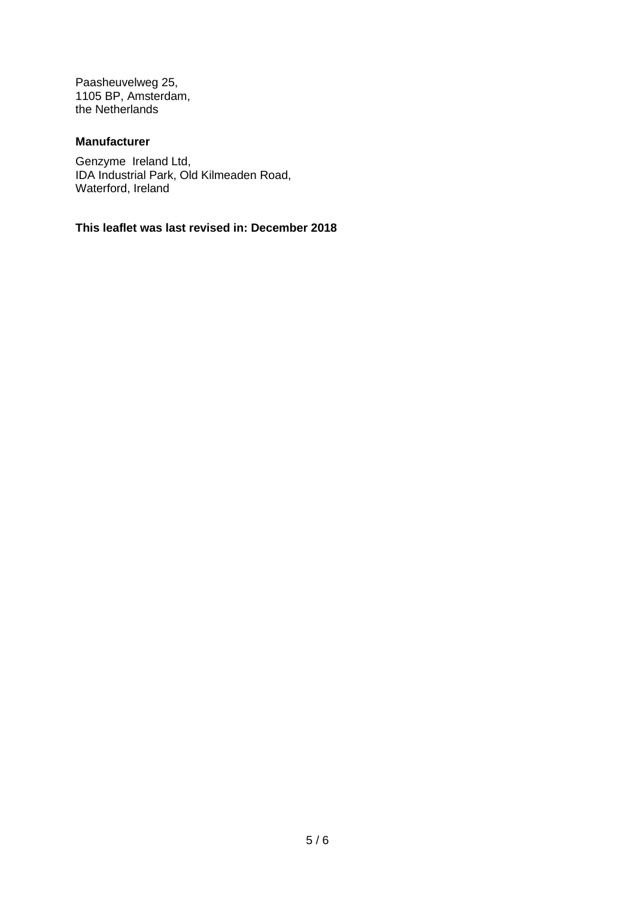Paasheuvelweg 25, 1105 BP, Amsterdam, the Netherlands

# **Manufacturer**

Genzyme Ireland Ltd, IDA Industrial Park, Old Kilmeaden Road, Waterford, Ireland

**This leaflet was last revised in: December 2018**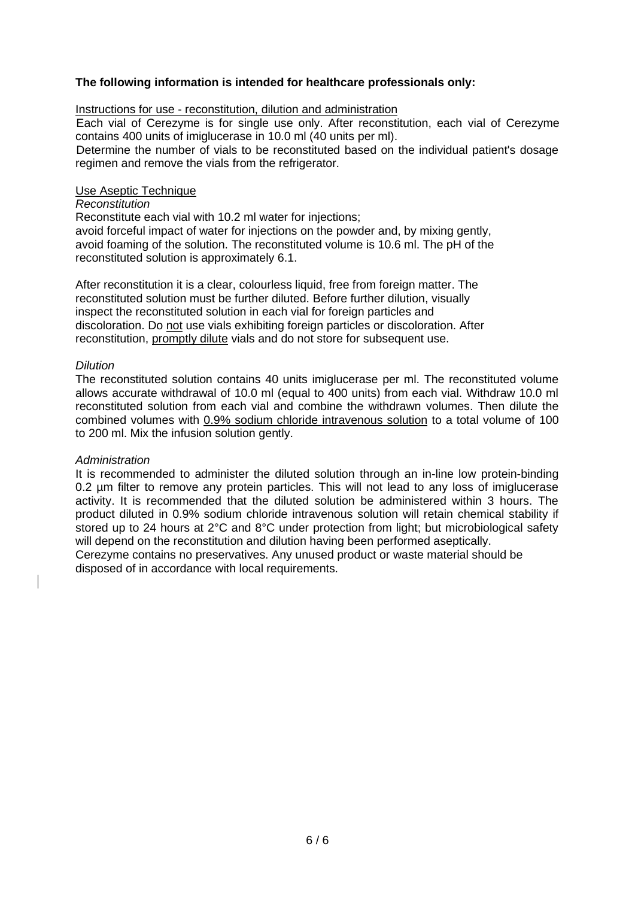# **The following information is intended for healthcare professionals only:**

# Instructions for use - reconstitution, dilution and administration

Each vial of Cerezyme is for single use only. After reconstitution, each vial of Cerezyme contains 400 units of imiglucerase in 10.0 ml (40 units per ml).

Determine the number of vials to be reconstituted based on the individual patient's dosage regimen and remove the vials from the refrigerator.

## Use Aseptic Technique

# *Reconstitution*

Reconstitute each vial with 10.2 ml water for injections; avoid forceful impact of water for injections on the powder and, by mixing gently, avoid foaming of the solution. The reconstituted volume is 10.6 ml. The pH of the reconstituted solution is approximately 6.1.

After reconstitution it is a clear, colourless liquid, free from foreign matter. The reconstituted solution must be further diluted. Before further dilution, visually inspect the reconstituted solution in each vial for foreign particles and discoloration. Do not use vials exhibiting foreign particles or discoloration. After reconstitution, promptly dilute vials and do not store for subsequent use.

# *Dilution*

The reconstituted solution contains 40 units imiglucerase per ml. The reconstituted volume allows accurate withdrawal of 10.0 ml (equal to 400 units) from each vial. Withdraw 10.0 ml reconstituted solution from each vial and combine the withdrawn volumes. Then dilute the combined volumes with 0.9% sodium chloride intravenous solution to a total volume of 100 to 200 ml. Mix the infusion solution gently.

#### *Administration*

It is recommended to administer the diluted solution through an in-line low protein-binding 0.2 µm filter to remove any protein particles. This will not lead to any loss of imiglucerase activity. It is recommended that the diluted solution be administered within 3 hours. The product diluted in 0.9% sodium chloride intravenous solution will retain chemical stability if stored up to 24 hours at 2°C and 8°C under protection from light; but microbiological safety will depend on the reconstitution and dilution having been performed aseptically.

Cerezyme contains no preservatives. Any unused product or waste material should be disposed of in accordance with local requirements.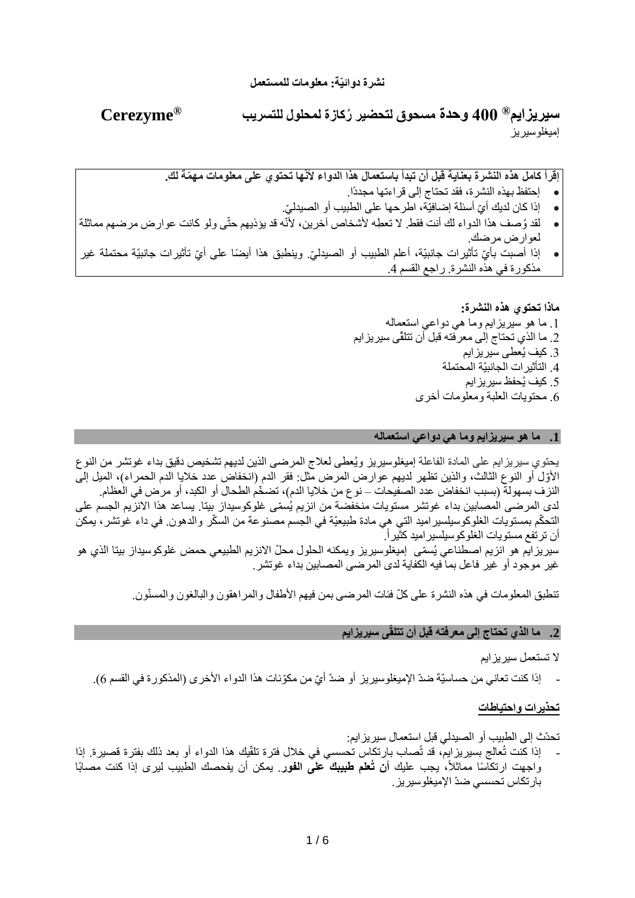**R سيريزايم Cerezyme ® 400 وحدة مسحوق لتحضير ُركازة لمحلول للتسريب**  إميغلوسيريز

**إقرأ كامل هذه النشرة بعناية قبل أن تبدأ باستعمال هذا الدواء ألنّها تحتوي على معلومات مه ّمة لك.**

- إحتفظ بهذه النشرة، فقد تحتاج إلى قراءتها مجددًا.
- إذا كان لديك أيّ أسئلة إضـافيّة، اطرحها على الطبيب أو الصـيدليّ.
- لقد ُوصف هذا الدواء لك أنت فقط. ال تع ِطه ألشخاص آخرين، ألنّه قد يؤذيهم حتّى ولو كانت عوارض مرضهم مماثلة لعوارض مرضك.
- إذا أصبت بأيّ تأثيرات جانبيّة، أعلم الطبيب أو الصبدليّ. وينطبق هذا أيضًا على أيّ تأثيرات جانبيّة محتملة غير مذكورة في هذه النشرة. راجع القسم .4

**ماذا تحتوي هذه النشرة:**  .1 ما هو سيريزايم وما هي دواعي استعماله .2 ما الذي تحتاج إلى معرفته قبل أن تتلقّى سيريزايم .3 كيف يُعطى سيريزايم .4 التأثيرات الجانبيّة المحتملة .5 كيف يُحفظ سيريزايم .6 محتويات العلبة ومعلومات أخرى

#### **.1 ما هو سيريزايم وما هي دواعي استعماله**

يحتوي سيريزايم على المادة الفاعلة إميغلوسيريز ويُعطى لعالج المرضى الذين لديهم تشخيص دقيق بداء غوتشر من النوع الأوّل أو النوع الثالث، والذين تظهر لديهم عوارض المرض مثل: فقر الدم (انخفاض عدد خلايا الدم الحمراء)، الميل إلى النزف بسهولة (بسبب انخفاض عدد الصفيحات – نو ع من خلايا الدم)، تضخّم الطحال أو الكبد، أو مرض في العظام. لدى المرضى المصابين بداء غوتشر مستويات منخفضة من انزيم يُسمّى غلوكوسيداز بيتا. يساعد هذا الانزيم الجسم على التحكّم بمستويات الغلوكوسيلسير اميد التي هي مادة طبيعيّة في الجسم مصنوعة من السكّر والدهون. في داء غوتشر ، يمكن أن ترتفع مستويات الغلوكوسيلسير اميد كثير أ. سيريزايم هو انزيم اصطناعي يُسمّى إميغلوسيريز ويمكنه الحلول محلّ الانزيم الطبيعي حمض غلوكوسيداز بيتا الذي هو غير موجود أو غير فاعل بما فيه الكفاية لدى المرضى المصابين بداء غوتشر.

تنطبق المعلومات في هذه النشرة على كلّ فئات المرضى بمن فيهم الأطفال والمر اهقون والبالغون والمسنّون.

#### **.2 ما الذي تحتاج إلى معرفته قبل أن تتلقّى سيريزايم**

#### ال تستعمل سيريزايم

- إذا كنت تعاني من حساسيّة ضدّ الإميغلوسيريز أو ضدّ أيّ من مكوّنات هذا الدواء الأخرى (المذكورة في القسم 6).

#### **تحذيرات واحتياطات**

#### تحدّث إلى الطبيب أو الصيدلي قبل استعمال سيريزايم:

- إذا كنت تُعالج بسيريزايم، قد تُصـاب بارتكاس تُحسسي في خلال فترة تلقّيك هذا الدواء أو بعد ذلك بفترة قصيرة. إذا واجهت ارتكاسًا مماثلاً، يجب عليك أ**ن تُعلم طبيبك على الفور**. يمكن أن يفحصك الطبيب ليرى إذا كنت مصابًا بارتكاس تحسسي ضدّ اإلميغلوسيريز.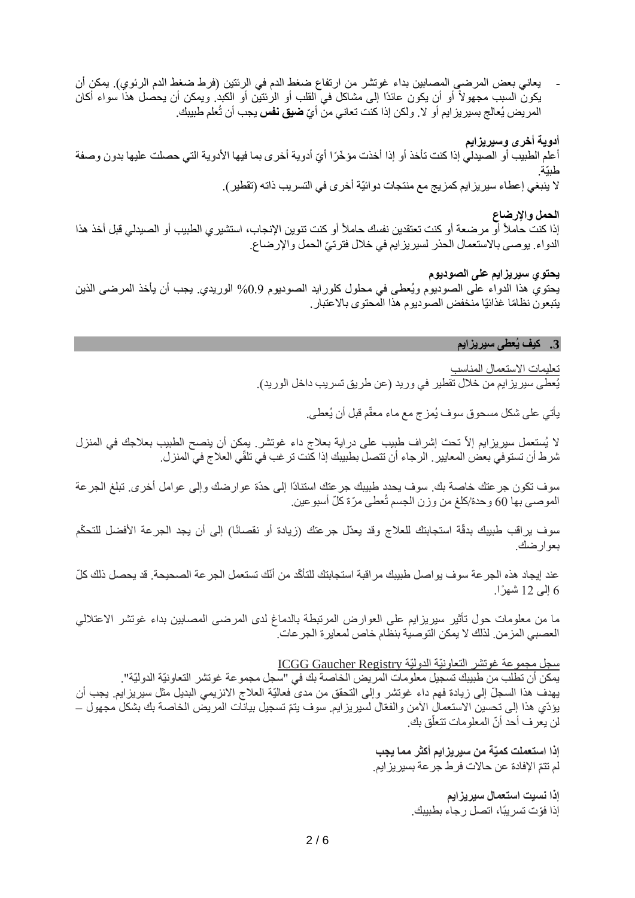يعاني بعض المرضى المصابين بداء غوتشر من ارتفاع ضغط الدم في الرئتين (فرط ضغط الدم الرئوي). يمكن أن يكون السبب مجهولاً أو أن يكون عائدًا إلى مشاكل في القلب أو الرئتين أو الكبد. ويمكن أن يحصل هذا سواء أكان المريض يُعالج بسيريز ايم أو لا<sub>ً</sub>. ولكن إذا كنت تعاني من أيّ **ضيق نفس** يجب أن تُعلم طبيبك.

**أدوية أخرى وسيريزايم** 

أعلم الطبيب أو الصيدلي إذا كنت تأخذ أو إذا أخذت مؤخّرًا أيّ أدوية أخرى بما فيها الأدوية التي حصلت عليها بدون وصفة طبيّة. ال ينبغي إعطاء سيريزايم كمزيج مع منتجات دوائيّة أخرى في التسريب ذاته )تقطير(.

**الحمل واإلرضاع** 

إذا كنت حاملأ أو مرضعة أو كنت تعتقدين نفسك حاملاً أو كنت تنوين الإنجاب، استشيري الطبيب أو الصيدلي قبل أخذ هذا الدواء. يوصىي بالاستعمال الحذر لسيريز ايم في خلال فترتيّ الحمل والإرضاع.

**يحتوي سيريزايم على الصوديوم** 

يحتوي هذا الدواء على الصوديوم ويُعطى في محلول كلورايد الصوديوم %0.9 الوريدي. يجب أن يأخذ المرضى الذين يتبعون نظامًا غذائيًا منخفض الصوديوم هذا المحتوى بالاعتبار.

# **.3 كيف يُعطى سيريزايم**

تعليمات االستعمال المناسب

يُعطى سيريزايم من خلال تقطير في وريد (عن طريق تسريب داخل الوريد).

يأتي على شكل مسحوق سوف يُمزج مع ماء معقّم قبل أن يُعطى.

لا يُستعمل سيريزايم إلاّ تحت إشراف طبيب على دراية بعلاج داء غوتشر يمكن أن ينصح الطبيب بعلاجك في المنزل شرط أن تستوفي بعض المعايير. الرجاء أن تتصل بطبيبك إذا كنت ترغب في تلقّي العالج في المنزل.

سوف تكون جرعتك خاصة بك. سوف يحدد طبيبك جرعتك استنادًا إلى حدّة عوارضك وإلى عوامل أخرى. تبلغ الجرعة الموصىي بها 60 وحدة/كلغ من وزن الجسم تُعطى مرّة كلّ أسبوعين.

سوف يراقب طبيبك بدقّة استجابتك للعلاج وقد يعدّل جرعتك (زيادة أو نقصانًا) إلى أن يجد الجرعة الأفضل للتحكّم بعوارضك.

عند إيجاد هذه الجر عة سوف يواصل طبيبك مراقبة استجابتك للتأكّد من أنّك تستعمل الجر عة الصحيحة. قد يحصل ذلك كلّ 6 إلى 12 شهًرا.

ما من معلومات حول تأثير سيريزايم على العوارض المرتبطة بالدماغ لدى المرضى المصابين بداء غوتشر االعتاللي العصبي المزمن. لذلك ال يمكن التوصية بنظام خاص لمعايرة الجرعات.

سجل مجموعة غوتشر التعاونيّة الدوليّة Registry Gaucher ICGG يمكن أن تطلب من طبيبك تسجيل معلومات المريض الخاصة بك في "سجل مجموعة غوتشر التعاونيّة الدوليّة". يهدف هذا السجلّ إلى زيادة فهم داء غوتشر وإلى التحقق من مدى فعاليّة العلاج الانزيمي البديل مثل سيريزايم. يجب أن يؤدّي هذا إلى تحسين الاستعمال الأمن والفعّال لسيريزايم. سوف يتمّ تسجيل بيانات المريض الخاصـة بك بشكل مجهول – ֖֖֚֚֚֚֝<br>֧֧֚֝ لن يعرف أحد أنّ المعلومات تتعلّق بك.

> **إذا استعملت كميّة من سيريزايم أكثر مما يجب** لم تتمّ الإفادة عن حالات فرط جرعة بسيريزايم.

> > **إذا نسيت استعمال سيريزايم** إذا فّوت تسريبًا، اتصل رجاء بطبيبك.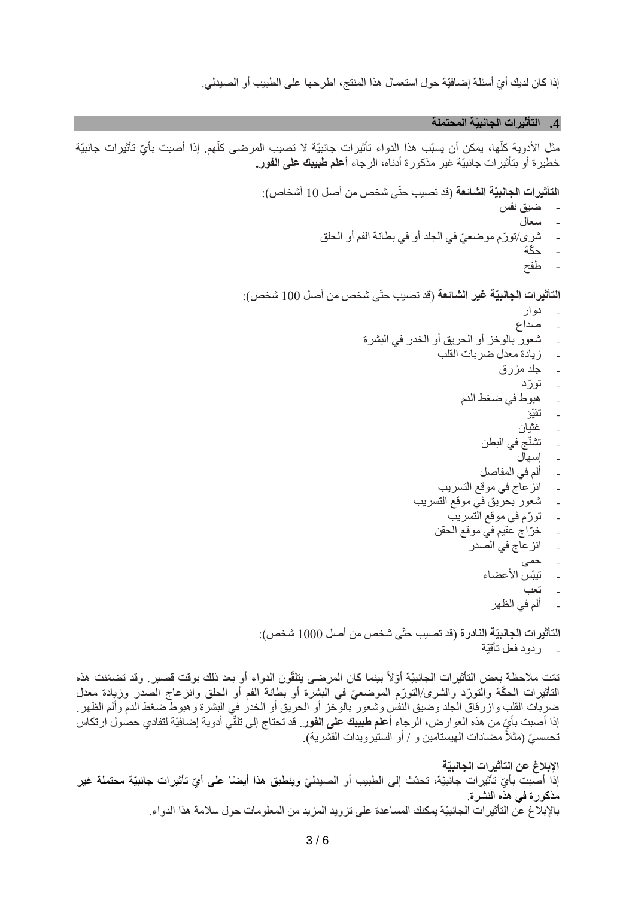إذا كان لديك أيّ أسئلة إضـافيّة حول استعمال هذا المنتج، اطرحها على الطبيب أو الصبدلي.

**.4 التأثيرات الجانبيّة المحتملة**

مثل الأدوية كلّها، يمكن أن يسبّب هذا الدواء تأثيرات جانبيّة لا تصبب المرضى كلّهم. إذا أصبت بأيّ تأثيرات جانبيّة خطيرة أو بتأثيرات جانبيّة غير مذكورة أدناه، الرجاء **أعلم طبيبك على الفور.** 

> ا**لتأثيرات الجانبيّة الشائعة** (قد تصبب حتّى شخص من أصل 10 أشخاص): - ضيق نفس - سعال - شرى/تورّم موضعيّ في الجلد أو في بطانة الفم أو الحلق - ح ّكة - طفح )قد تصيب حتّ 100 شخص(: **التأثيرات الجانبيّة غير الشائعة** ى شخص من أصل - دوار - صداع - شعور بالوخز أو الحريق أو الخدر في البشرة - زيادة معدل ضربات القلب - جلد مزرق - تو ّرد - هبوط في ضغط الدم - تقيّؤ - غثيان - تشنّج في البطن - إسهال - ألم في المفاصل - انزعاج في موقع التسريب - شعور بحريق في موقع التسريب - تو ّرم في موقع التسريب خرّاج عقيم في موقع الحقن - انزعاج في الصدر - حمى - تيبّس األعضاء - تعب - ألم في الظهر ا**لتأثيرات الجانبيّة النادرة** (قد تصبب حتّى شخص من أصل 1000 شخص): - ردود فعل تأقيّة

نّمَت ملاحظة بعض التأثيرات الجانبيّة أوّلاً بينما كان المرضى ينلقّون الدواء أو بعد ذلك بوقت قصير ٍ وقد تضمّنت هذه التأثيرات الحكّة والتورّد والشرى/التورّم الموضعيّ في البشرة أو بطانة الفم أو الحلق وانزعاج الصدر وزيادة معدل ضربات القلب وازرقاق الجلد وضيق النفس وشعور بالوخز أو الحريق أو الخدر في البشرة وهبوط ضغط الدم وألم الظهر. إذا أصبت بأيٍّ من هذه العوارض، الرجاء أ**علم طبيبك على الفور**. قد تحتاج إلى تلقّي أدوية إضافيّة لتفادي حصول ارتكاس تحسسيّ (مثلاً مضـادات الـهيستامين و / أو الستيرويدات القشرية).

**اإلبالغ عن التأثيرات الجانبيّة** إذا أصبت بأيّ تأثيرات جانبيّة، تحدّث إلى الطبيب أو الصيدليّ وينطبق هذا أيضًا على أيّ تأثيرات جانبيّة محتملة غير مذكورة في هذه النشرة. باإلبالغ عن التأثيرات الجانبيّة يمكنك المساعدة على تزويد المزيد من المعلومات حول سالمة هذا الدواء.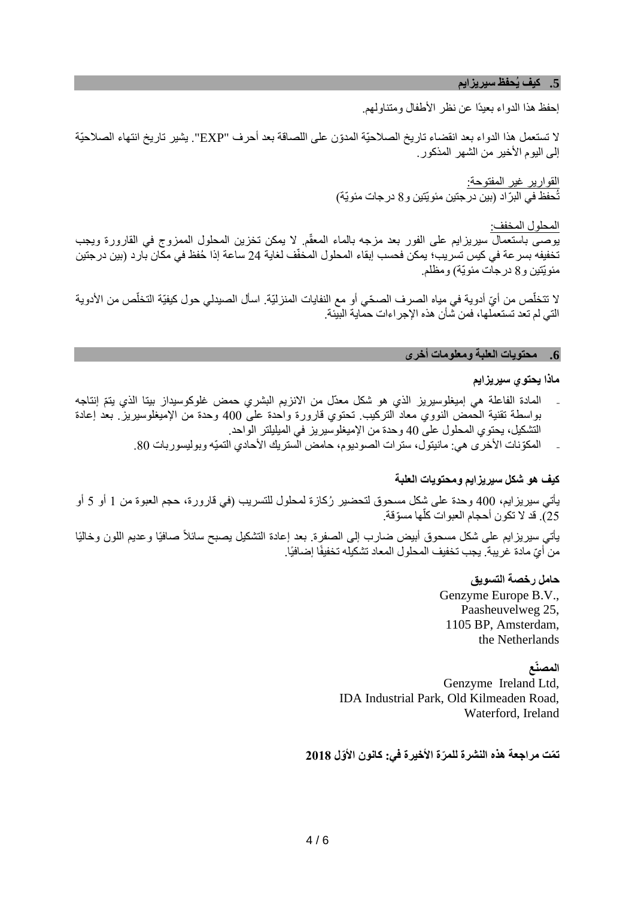#### **.5 كيف يُحفظ سيريزايم**

إحفظ هذا الدواء بعيدًا عن نظر الأطفال ومتناولهم.

ال تستعمل هذا الدواء بعد انقضاء تاريخ الصالحيّة المدّون على اللصاقة بعد أحرف "EXP". يشير تاريخ انتهاء الصالحيّة إلى اليوم الأخير من الشهر المذكور.

> ا<u>لقوارير</u> غير المفت<u>وحة:</u> تُحفظ في البرّاد (بين درجتين مئويّتين و8 درجات مئويّة)

المحلول المخفف: يوصى باستعمال سيريزايم على الفور بعد مزجه بالماء المعقم. ال يمكن تخزين المحلول الممزوج في القارورة ويجب ّ تخفيفه بسرعة في كيس تسريب؛ يمكن فحسب إبقاء المحلول المخفّف لغاية 24 ساعة إذا ُحفظ في مكان بارد )بين درجتين مئويّتين و8 درجات مئويّة) ومظلم.

لا تتخلّص من أيّ أدوية في مِياه الصرف الصحّي أو مع النفايات المنزليّة. اسأل الصيدلي حول كيفيّة التخلّص من الأدوية التي لم تعد تستعملها، فمن شأن هذه اإلجراءات حماية البيئة.

#### **.6 محتويات العلبة ومعلومات أخرى**

## **ماذا يحتوي سيريزايم**

- ـ المادة الفاعلة هي إميغلوسيريز الذي هو شكل معدّل من الانزيم البشري حمض غلوكوسيداز بيتا الذي يتمّ إنتاجه بواسطة تقنية الحمض النووي معاد التركيب. تحتوي قارورة واحدة على 400 وحدة من اإلميغلوسيريز. بعد إعادة التشكيل، يحتوي المحلول على 40 وحدة من اإلميغلوسيريز في الميليلتر الواحد.
	- المكوّنات الأخرى هي: مانيتول، ستر ات الصوديوم، حامض الستريك الأحادي التميّه وبوليسور بات 80.

# **كيف هو شكل سيريزايم ومحتويات العلبة**

يأتي سيريزايم، 400 وحدة على شكل مسحوق لتحضير ُركازة لمحلول للتسريب )في قارورة، حجم العبوة من 1 أو 5 أو 25). قد لا تكون أحجام العبوات كلها مسوّقة. أ

يَاتي سيريزايم على شكل مسحوق أبيض ضارب إلى الصفرة. بعد إعادة التشكيل يصبح سائلاً صافيًا وعديم اللون وخاليًا من أيّ مادة غريبة. يجب تخفيف المحلول المعاد تشكيله تخفيفًا إضافيًا.

> **حامل رخصة التسويق**  Genzyme Europe B.V., Paasheuvelweg 25, 1105 BP, Amsterdam, the Netherlands

#### **المصنّع**

Genzyme Ireland Ltd, IDA Industrial Park, Old Kilmeaden Road, Waterford, Ireland

**ت ّمت مراجعة هذه النشرة للم ّرة األخيرة في: ك انون األ ّول 2018**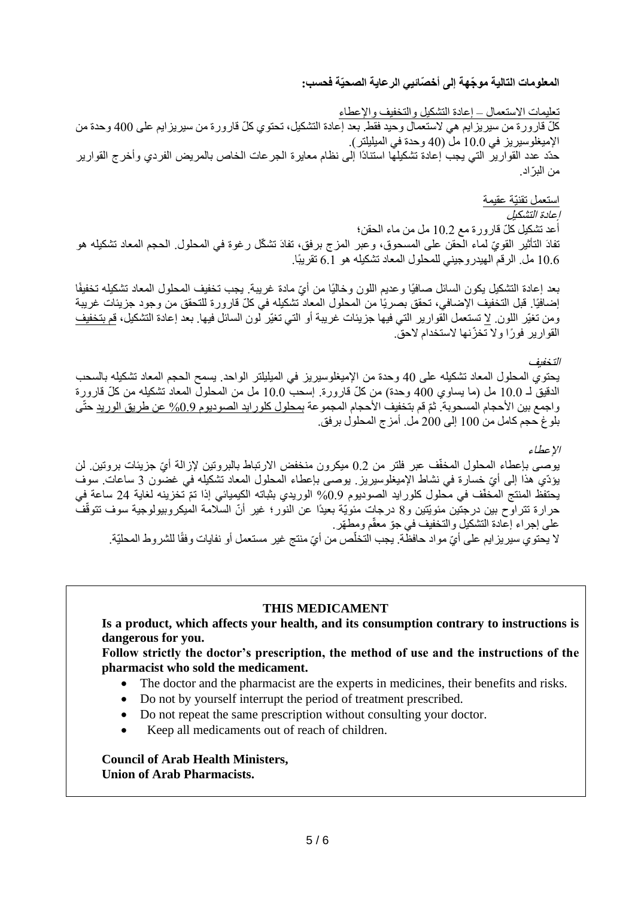**المعلومات التالية مو ّجهة إلى أخ ّصائيي الرعاية الصحيّة فحسب:** 

تعليمات االستعمال – إعادة التشكيل والتخفيف واإلعطاء كلّ قارورة من سيريزايم هي لاستعمال وحيد فقط. بعد إعادة التشكيل، تحتوي كلّ قارورة من سيريزايم على 400 وحدة من الإميغلوسيريز في 10.0 مل (40 وحدة في الميليلتر). حدّد عدد القوارير التي يجب إعادة تشكيلها استنادًا إلى نظام معايرة الجرعات الخاص بالمريض الفردي وأخرج القوارير من الب ّراد.

استعمل تقنيّة عقيمة إعادة التشكيل أعد تشكيل كلّ قارورة مع 10.2 مل من ماء الحقن؛ تفادَ التأثير القويّ لماء الْحقن على المسحوق، وعبر المزج برفق، تفادَ تشكّل رغوة في المحلول. الحجم المعاد تشكيله هو مل. الرقم الهيدروجيني للمحلول المعاد تشكيله هو 6.1 تقريبًا.  $6.1$ 

بعد إعادة التشكيل يكون السائل صافيًا وعديم اللون وخاليًا من أيّ مادة غريبة. يجب تخفيف المحلول المعاد تشكيله تخفيفًا إضافيًا. قبل التخفيف الإضافي، تحقق بصريًا من المحلول المعاد تشكيله في كلّ قارورة للتحقق من وجود جزيئات غريبة ومن تغيّر اللون. ال تستعمل القوارير التي فيها جزيئات غريبة أو التي تغيّر لون السائل فيها. بعد إعادة التشكيل، قم بتخفيف القوارير فو ًرا وال تخ ّزنها الستخدام الحق.

التخفيف

يحتوي المحلول المعاد تشكيله على 40 وحدة من اإلميغلوسيريز في الميليلتر الواحد. يسمح الحجم المعاد تشكيله بالسحب الدقيق لـ 10.0 مل (ما يساوي 400 وحدة) من كلّ قارورة. إسحب 10.0 مل من المحلول المعاد تشكيله من كلّ قارورة واجمع بين الأحجام المسحوبة. ثمّ قم بتخفيف الأحجام المجموعة بمحلول كلورايد الصوديوم 0.9% عن طريق الوريد حتّى بلوغ حجم كامل من 100 إلى 200 مل. أمزج المحلول برفق.

اإلعطاء يوصـى بإعطاء المحلول المخفّف عبر فلتر من 0.2 ميكرون منخفض الارتباط بالبروتين لإزالة أيّ جزيئات بروتين. لن يؤدّي هذا إلى أيّ خسارة في نشاط الإميغلوسيريز بوصى بإعطاء المحلول المعاد تشكيله في غضون 3 ساعات. سوف يحتفظ المنتج المخفّف في محلول كلورايد الصوديوم 0.9% الوريدي بثباته الكيميائي إذا تمّ تخزينه لغاية 24 ساعة في حرارة تتراوح بين درجتين مئويّتين و8 درجات مئويّة بعيدًا عن النور؛ غير أنّ السلّامة المُبكروبيولوجية سوف تتوقّف على إجراء إعادة التشكيل والتخفيف في جّو معقّم ومط ّهر. لا يحتوي سيريزايم على أيّ مواد حافظّة. يجب التخلّص من أيّ منتج غير مستعمل أو نفايات وفقًا للشروط المحليّة.

# **THIS MEDICAMENT**

**Is a product, which affects your health, and its consumption contrary to instructions is dangerous for you.** 

**Follow strictly the doctor's prescription, the method of use and the instructions of the pharmacist who sold the medicament.** 

- The doctor and the pharmacist are the experts in medicines, their benefits and risks.
- Do not by yourself interrupt the period of treatment prescribed.
- Do not repeat the same prescription without consulting your doctor.
- Keep all medicaments out of reach of children.

**Council of Arab Health Ministers, Union of Arab Pharmacists.**